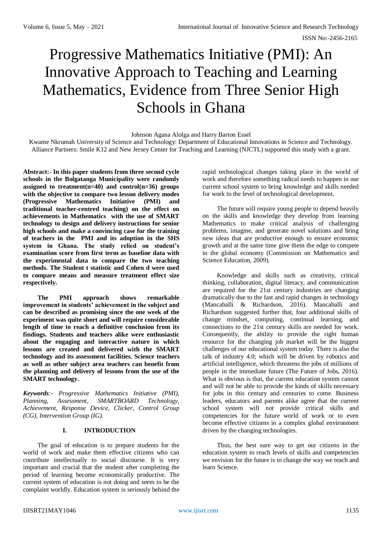ISSN No:-2456-2165

# Progressive Mathematics Initiative (PMI): An Innovative Approach to Teaching and Learning Mathematics, Evidence from Three Senior High Schools in Ghana

Johnson Agana Alolga and Harry Barton Essel

Kwame Nkrumah University of Science and Technology: Department of Educational Innovations in Science and Technology. Alliance Partners: Smile K12 and New Jersey Center for Teaching and Learning (NJCTL) supported this study with a grant.

**Abstract:- In this paper students from three second cycle schools in the Bolgatanga Municipality were randomly assigned to treatment(n=40) and control(n=36) groups with the objective to compare two lesson delivery modes (Progressive Mathematics Initiative (PMI) and traditional teacher-centred teaching) on the effect on achievements in Mathematics with the use of SMART technology to design and delivery instructions for senior high schools and make a convincing case for the training of teachers in the PMI and its adoption in the SHS system in Ghana. The study relied on student's examination score from first term as baseline data with the experimental data to compare the two teaching methods. The Student t statistic and Cohen d were used to compare means and measure treatment effect size respectively.**

**The PMI approach shows remarkable improvement in students' achievement in the subject and can be described as promising since the one week of the experiment was quite short and will require considerable length of time to reach a definitive conclusion from its findings. Students and teachers alike were enthusiastic about the engaging and interactive nature in which lessons are created and delivered with the SMART technology and its assessment facilities. Science teachers as well as other subject area teachers can benefit from the planning and delivery of lessons from the use of the SMART technology.**

*Keywords:- Progressive Mathematics Initiative (PMI), Planning, Assessment, SMARTBOARD Technology, Achievement, Response Device, Clicker, Control Group (CG), Intervention Group (IG).*

## **I. INTRODUCTION**

The goal of education is to prepare students for the world of work and make them effective citizens who can contribute intellectually to social discourse. It is very important and crucial that the student after completing the period of learning become economically productive. The current system of education is not doing and seem to be the complaint worldly. Education system is seriously behind the rapid technological changes taking place in the world of work and therefore something radical needs to happen in our current school system to bring knowledge and skills needed for work to the level of technological development.

The future will require young people to depend heavily on the skills and knowledge they develop from learning Mathematics to make critical analysis of challenging problems, imagine, and generate novel solutions and bring new ideas that are productive enough to ensure economic growth and at the same time give them the edge to compete in the global economy (Commission on Mathematics and Science Education, 2009).

Knowledge and skills such as creativity, critical thinking, collaboration, digital literacy, and communication are required for the 21st century industries are changing dramatically due to the fast and rapid changes in technology (Mancaballi & Richardson, 2016). Mancaballi and Richardson suggested further that, four additional skills of change mindset, computing, continual learning, and connections to the 21st century skills are needed for work. Consequently, the ability to provide the right human resource for the changing job market will be the biggest challenges of our educational system today. There is also the talk of industry 4.0; which will be driven by robotics and artificial intelligence, which threatens the jobs of millions of people in the immediate future (The Future of Jobs, 2016). What is obvious is that, the current education system cannot and will not be able to provide the kinds of skills necessary for jobs in this century and centuries to come. Business leaders, educators and parents alike agree that the current school system will not provide critical skills and competencies for the future world of work or to even become effective citizens in a complex global environment driven by the changing technologies.

Thus, the best sure way to get our citizens in the education system to reach levels of skills and competencies we envision for the future is to change the way we teach and learn Science.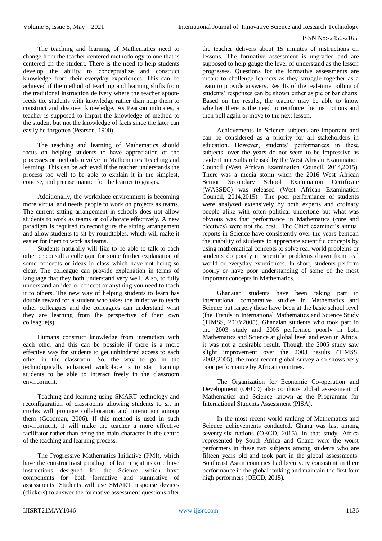The teaching and learning of Mathematics need to change from the teacher-centered methodology to one that is centered on the student. There is the need to help students develop the ability to conceptualize and construct knowledge from their everyday experiences. This can be achieved if the method of teaching and learning shifts from the traditional instruction delivery where the teacher spoonfeeds the students with knowledge rather than help them to construct and discover knowledge. As Pearson indicates, a teacher is supposed to impart the knowledge of method to the student but not the knowledge of facts since the later can easily be forgotten (Pearson, 1900).

The teaching and learning of Mathematics should focus on helping students to have appreciation of the processes or methods involve in Mathematics Teaching and learning. This can be achieved if the teacher understands the process too well to be able to explain it in the simplest, concise, and precise manner for the learner to grasps.

Additionally, the workplace environment is becoming more virtual and needs people to work on projects as teams. The current sitting arrangement in schools does not allow students to work as teams or collaborate effectively. A new paradigm is required to reconfigure the sitting arrangement and allow students to sit by roundtables, which will make it easier for them to work as teams.

Students naturally will like to be able to talk to each other or consult a colleague for some further explanation of some concepts or ideas in class which have not being so clear. The colleague can provide explanation in terms of language that they both understand very well. Also, to fully understand an idea or concept or anything you need to teach it to others. The new way of helping students to learn has double reward for a student who takes the initiative to teach other colleagues and the colleagues can understand what they are learning from the perspective of their own colleague(s).

Humans construct knowledge from interaction with each other and this can be possible if there is a more effective way for students to get unhindered access to each other in the classroom. So, the way to go in the technologically enhanced workplace is to start training students to be able to interact freely in the classroom environment.

Teaching and learning using SMART technology and reconfiguration of classrooms allowing students to sit in circles will promote collaboration and interaction among them (Goodman, 2006). If this method is used in such environment, it will make the teacher a more effective facilitator rather than being the main character in the centre of the teaching and learning process.

The Progressive Mathematics Initiative (PMI), which have the constructivist paradigm of learning at its core have instructions designed for the Science which have components for both formative and summative of assessments. Students will use SMART response devices (clickers) to answer the formative assessment questions after the teacher delivers about 15 minutes of instructions on lessons. The formative assessment is ungraded and are supposed to help gauge the level of understand as the lesson progresses. Questions for the formative assessments are meant to challenge learners as they struggle together as a team to provide answers. Results of the real-time polling of students' responses can be shown either as pie or bar charts. Based on the results, the teacher may be able to know whether there is the need to reinforce the instructions and then poll again or move to the next lesson.

Achievements in Science subjects are important and can be considered as a priority for all stakeholders in education. However, students' performances in these subjects, over the years do not seem to be impressive as evident in results released by the West African Examination Council (West African Examination Council, 2014,2015). There was a media storm when the 2016 West African Senior Secondary School Examination Certificate (WASSEC) was released (West African Examination Council, 2014,2015) The poor performance of students were analyzed extensively by both experts and ordinary people alike with often political undertone but what was obvious was that performance in Mathematics (core and electives) were not the best. The Chief examiner's annual reports in Science have consistently over the years bemoan the inability of students to appreciate scientific concepts by using mathematical concepts to solve real world problems or students do poorly in scientific problems drawn from real world or everyday experiences. In short, students perform poorly or have poor understanding of some of the most important concepts in Mathematics.

Ghanaian students have been taking part in international comparative studies in Mathematics and Science but largely these have been at the basic school level (the Trends in International Mathematics and Science Study (TIMSS, 2003;2005). Ghanaian students who took part in the 2003 study and 2005 performed poorly in both Mathematics and Science at global level and even in Africa, it was not a desirable result. Though the 2005 study saw slight improvement over the 2003 results (TIMSS, 2003;2005), the most recent global survey also shows very poor performance by African countries.

The Organization for Economic Co-operation and Development (OECD) also conducts global assessment of Mathematics and Science known as the Programme for International Students Assessment (PISA).

In the most recent world ranking of Mathematics and Science achievements conducted, Ghana was last among seventy-six nations (OECD, 2015). In that study, Africa represented by South Africa and Ghana were the worst performers in these two subjects among students who are fifteen years old and took part in the global assessments. Southeast Asian countries had been very consistent in their performance in the global ranking and maintain the first four high performers (OECD, 2015).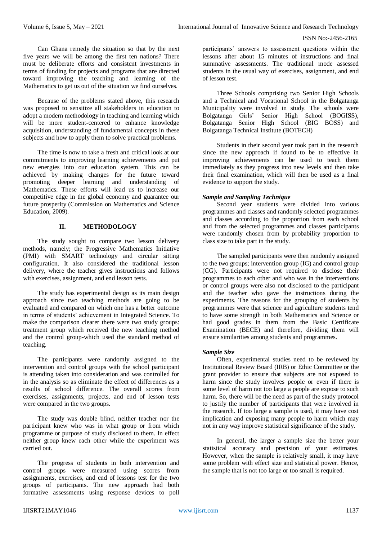Can Ghana remedy the situation so that by the next five years we will be among the first ten nations? There must be deliberate efforts and consistent investments in terms of funding for projects and programs that are directed toward improving the teaching and learning of the Mathematics to get us out of the situation we find ourselves.

Because of the problems stated above, this research was proposed to sensitize all stakeholders in education to adopt a modern methodology in teaching and learning which will be more student-centered to enhance knowledge acquisition, understanding of fundamental concepts in these subjects and how to apply them to solve practical problems.

The time is now to take a fresh and critical look at our commitments to improving learning achievements and put new energies into our education system. This can be achieved by making changes for the future toward promoting deeper learning and understanding of Mathematics. These efforts will lead us to increase our competitive edge in the global economy and guarantee our future prosperity (Commission on Mathematics and Science Education, 2009).

## **II. METHODOLOGY**

The study sought to compare two lesson delivery methods, namely; the Progressive Mathematics Initiative (PMI) with SMART technology and circular sitting configuration. It also considered the traditional lesson delivery, where the teacher gives instructions and follows with exercises, assignment, and end lesson tests.

The study has experimental design as its main design approach since two teaching methods are going to be evaluated and compared on which one has a better outcome in terms of students' achievement in Integrated Science. To make the comparison clearer there were two study groups: treatment group which received the new teaching method and the control group-which used the standard method of teaching.

The participants were randomly assigned to the intervention and control groups with the school participant is attending taken into consideration and was controlled for in the analysis so as eliminate the effect of differences as a results of school difference. The overall scores from exercises, assignments, projects, and end of lesson tests were compared in the two groups.

The study was double blind, neither teacher nor the participant knew who was in what group or from which programme or purpose of study disclosed to them. In effect neither group knew each other while the experiment was carried out.

The progress of students in both intervention and control groups were measured using scores from assignments, exercises, and end of lessons test for the two groups of participants. The new approach had both formative assessments using response devices to poll

participants' answers to assessment questions within the lessons after about 15 minutes of instructions and final summative assessments. The traditional mode assessed students in the usual way of exercises, assignment, and end of lesson test.

Three Schools comprising two Senior High Schools and a Technical and Vocational School in the Bolgatanga Municipality were involved in study. The schools were Bolgatanga Girls' Senior High School (BOGISS), Bolgatanga Senior High School (BIG BOSS) and Bolgatanga Technical Institute (BOTECH)

Students in their second year took part in the research since the new approach if found to be to effective in improving achievements can be used to teach them immediately as they progress into new levels and then take their final examination, which will then be used as a final evidence to support the study.

## *Sample and Sampling Technique*

Second year students were divided into various programmes and classes and randomly selected programmes and classes according to the proportion from each school and from the selected programmes and classes participants were randomly chosen from by probability proportion to class size to take part in the study.

The sampled participants were then randomly assigned to the two groups; intervention group (IG) and control group (CG). Participants were not required to disclose their programmes to each other and who was in the interventions or control groups were also not disclosed to the participant and the teacher who gave the instructions during the experiments. The reasons for the grouping of students by programmes were that science and agriculture students tend to have some strength in both Mathematics and Science or had good grades in them from the Basic Certificate Examination (BECE) and therefore, dividing them will ensure similarities among students and programmes.

#### *Sample Size*

Often, experimental studies need to be reviewed by Institutional Review Board (IRB) or Ethic Committee or the grant provider to ensure that subjects are not exposed to harm since the study involves people or even if there is some level of harm not too large a people are expose to such harm. So, there will be the need as part of the study protocol to justify the number of participants that were involved in the research. If too large a sample is used, it may have cost implication and exposing many people to harm which may not in any way improve statistical significance of the study.

In general, the larger a sample size the better your statistical accuracy and precision of your estimates. However, when the sample is relatively small, it may have some problem with effect size and statistical power. Hence, the sample that is not too large or too small is required.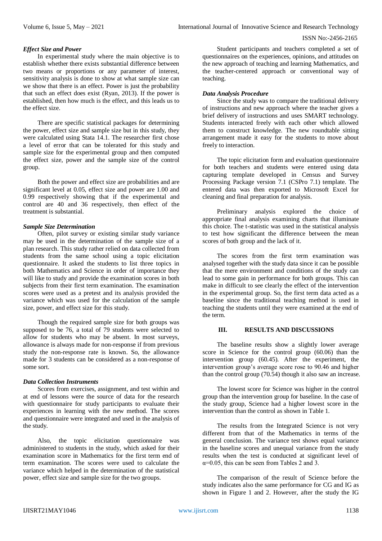# *Effect Size and Power*

In experimental study where the main objective is to establish whether there exists substantial difference between two means or proportions or any parameter of interest, sensitivity analysis is done to show at what sample size can we show that there is an effect. Power is just the probability that such an effect does exist (Ryan, 2013). If the power is established, then how much is the effect, and this leads us to the effect size.

There are specific statistical packages for determining the power, effect size and sample size but in this study, they were calculated using Stata 14.1. The researcher first chose a level of error that can be tolerated for this study and sample size for the experimental group and then computed the effect size, power and the sample size of the control group.

Both the power and effect size are probabilities and are significant level at 0.05, effect size and power are 1.00 and 0.99 respectively showing that if the experimental and control are 40 and 36 respectively, then effect of the treatment is substantial.

## *Sample Size Determination*

Often, pilot survey or existing similar study variance may be used in the determination of the sample size of a plan research. This study rather relied on data collected from students from the same school using a topic elicitation questionnaire. It asked the students to list three topics in both Mathematics and Science in order of importance they will like to study and provide the examination scores in both subjects from their first term examination. The examination scores were used as a pretest and its analysis provided the variance which was used for the calculation of the sample size, power, and effect size for this study.

Though the required sample size for both groups was supposed to be 76, a total of 79 students were selected to allow for students who may be absent. In most surveys, allowance is always made for non-response if from previous study the non-response rate is known. So, the allowance made for 3 students can be considered as a non-response of some sort.

# *Data Collection Instruments*

Scores from exercises, assignment, and test within and at end of lessons were the source of data for the research with questionnaire for study participants to evaluate their experiences in learning with the new method. The scores and questionnaire were integrated and used in the analysis of the study.

Also, the topic elicitation questionnaire was administered to students in the study, which asked for their examination score in Mathematics for the first term end of term examination. The scores were used to calculate the variance which helped in the determination of the statistical power, effect size and sample size for the two groups.

Student participants and teachers completed a set of questionnaires on the experiences, opinions, and attitudes on the new approach of teaching and learning Mathematics, and the teacher-centered approach or conventional way of teaching.

# *Data Analysis Procedure*

Since the study was to compare the traditional delivery of instructions and new approach where the teacher gives a brief delivery of instructions and uses SMART technology. Students interacted freely with each other which allowed them to construct knowledge. The new roundtable sitting arrangement made it easy for the students to move about freely to interaction.

The topic elicitation form and evaluation questionnaire for both teachers and students were entered using data capturing template developed in Census and Survey Processing Package version 7.1 (CSPro 7.1) template. The entered data was then exported to Microsoft Excel for cleaning and final preparation for analysis.

Preliminary analysis explored the choice of appropriate final analysis examining charts that illuminate this choice. The t-statistic was used in the statistical analysis to test how significant the difference between the mean scores of both group and the lack of it.

The scores from the first term examination was analysed together with the study data since it can be possible that the mere environment and conditions of the study can lead to some gain in performance for both groups. This can make in difficult to see clearly the effect of the intervention in the experimental group. So, the first term data acted as a baseline since the traditional teaching method is used in teaching the students until they were examined at the end of the term.

#### **III. RESULTS AND DISCUSSIONS**

The baseline results show a slightly lower average score in Science for the control group (60.06) than the intervention group (60.45). After the experiment, the intervention group's average score rose to 90.46 and higher than the control group (70.54) though it also saw an increase.

The lowest score for Science was higher in the control group than the intervention group for baseline. In the case of the study group, Science had a higher lowest score in the intervention than the control as shown in Table 1.

The results from the Integrated Science is not very different from that of the Mathematics in terms of the general conclusion. The variance test shows equal variance in the baseline scores and unequal variance from the study results when the test is conducted at significant level of  $\alpha$ =0.05, this can be seen from Tables 2 and 3.

The comparison of the result of Science before the study indicates also the same performance for CG and IG as shown in Figure 1 and 2. However, after the study the IG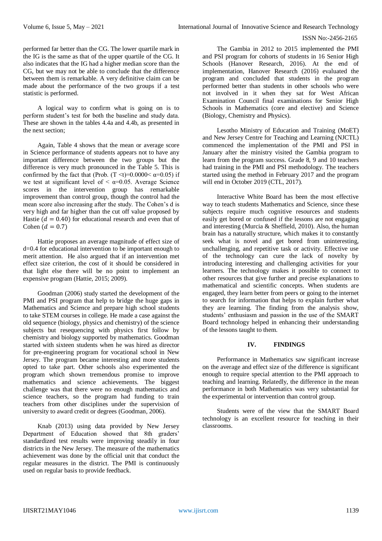performed far better than the CG. The lower quartile mark in the IG is the same as that of the upper quartile of the CG. It also indicates that the IG had a higher median score than the CG, but we may not be able to conclude that the difference between them is remarkable. A very definitive claim can be made about the performance of the two groups if a test statistic is performed.

A logical way to confirm what is going on is to perform student's test for both the baseline and study data. These are shown in the tables 4.4a and 4.4b, as presented in the next section;

Again, Table 4 shows that the mean or average score in Science performance of students appears not to have any important difference between the two groups but the difference is very much pronounced in the Table 5. This is confirmed by the fact that (Prob.  $(T \le t) = 0.0000 \le \alpha = 0.05$ ) if we test at significant level of  $\leq \alpha = 0.05$ . Average Science scores in the intervention group has remarkable improvement than control group, though the control had the mean score also increasing after the study. The Cohen's d is very high and far higher than the cut off value proposed by Hastie ( $d = 0.40$ ) for educational research and even that of Cohen ( $d = 0.7$ )

Hattie proposes an average magnitude of effect size of d=0.4 for educational intervention to be important enough to merit attention. He also argued that if an intervention met effect size criterion, the cost of it should be considered in that light else there will be no point to implement an expensive program (Hattie, 2015; 2009).

Goodman (2006) study started the development of the PMI and PSI program that help to bridge the huge gaps in Mathematics and Science and prepare high school students to take STEM courses in college. He made a case against the old sequence (biology, physics and chemistry) of the science subjects but resequencing with physics first follow by chemistry and biology supported by mathematics. Goodman started with sixteen students when he was hired as director for pre-engineering program for vocational school in New Jersey. The program became interesting and more students opted to take part. Other schools also experimented the program which shown tremendous promise to improve mathematics and science achievements. The biggest challenge was that there were no enough mathematics and science teachers, so the program had funding to train teachers from other disciplines under the supervision of university to award credit or degrees (Goodman, 2006).

Knab (2013) using data provided by New Jersey Department of Education showed that 8th graders' standardized test results were improving steadily in four districts in the New Jersey. The measure of the mathematics achievement was done by the official unit that conduct the regular measures in the district. The PMI is continuously used on regular basis to provide feedback.

The Gambia in 2012 to 2015 implemented the PMI and PSI program for cohorts of students in 16 Senior High Schools (Hanover Research, 2016). At the end of implementation, Hanover Research (2016) evaluated the program and concluded that students in the program performed better than students in other schools who were not involved in it when they sat for West African Examination Council final examinations for Senior High Schools in Mathematics (core and elective) and Science (Biology, Chemistry and Physics).

Lesotho Ministry of Education and Training (MoET) and New Jersey Centre for Teaching and Learning (NJCTL) commenced the implementation of the PMI and PSI in January after the ministry visited the Gambia program to learn from the program success. Grade 8, 9 and 10 teachers had training in the PMI and PSI methodology. The teachers started using the method in February 2017 and the program will end in October 2019 (CTL, 2017).

Interactive White Board has been the most effective way to teach students Mathematics and Science, since these subjects require much cognitive resources and students easily get bored or confused if the lessons are not engaging and interesting (Murcia & Sheffield, 2010). Also, the human brain has a naturally structure, which makes it to constantly seek what is novel and get bored from uninteresting, unchallenging, and repetitive task or activity. Effective use of the technology can cure the lack of novelty by introducing interesting and challenging activities for your learners. The technology makes it possible to connect to other resources that give further and precise explanations to mathematical and scientific concepts. When students are engaged, they learn better from peers or going to the internet to search for information that helps to explain further what they are learning. The finding from the analysis show, students' enthusiasm and passion in the use of the SMART Board technology helped in enhancing their understanding of the lessons taught to them.

# **IV. FINDINGS**

Performance in Mathematics saw significant increase on the average and effect size of the difference is significant enough to require special attention to the PMI approach to teaching and learning. Relatedly, the difference in the mean performance in both Mathematics was very substantial for the experimental or intervention than control group.

Students were of the view that the SMART Board technology is an excellent resource for teaching in their classrooms.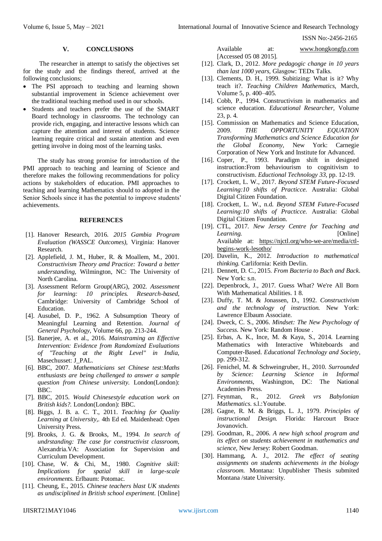#### **V. CONCLUSIONS**

The researcher in attempt to satisfy the objectives set for the study and the findings thereof, arrived at the following conclusions;

- The PSI approach to teaching and learning shown substantial improvement in Science achievement over the traditional teaching method used in our schools.
- Students and teachers prefer the use of the SMART Board technology in classrooms. The technology can provide rich, engaging, and interactive lessons which can capture the attention and interest of students. Science learning require critical and sustain attention and even getting involve in doing most of the learning tasks.

The study has strong promise for introduction of the PMI approach to teaching and learning of Science and therefore makes the following recommendations for policy actions by stakeholders of education. PMI approaches to teaching and learning Mathematics should to adopted in the Senior Schools since it has the potential to improve students' achievements.

#### **REFERENCES**

- [1]. Hanover Research, 2016. *2015 Gambia Program Evaluation (WASSCE Outcomes),* Virginia: Hanover Research.
- [2]. Applefield, J. M., Huber, R. & Moallem, M., 2001. *Constructivism Theory amd Practice: Toward a better understanding,* Wilmington, NC: The University of North Carolina.
- [3]. Assessment Reform Group(ARG), 2002. *Assessment for learning: 10 principles. Research-based,*  Cambridge: University of Cambridge School of Education.
- [4]. Ausubel, D. P., 1962. A Subsumption Theory of Meaningful Learning and Retention. *Journal of General Psychology,* Volume 66, pp. 213-244.
- [5]. Banerjee, A. et al., 2016. *Mainstraming an Effective Intervention: Evidence from Randomized Evaluations of "Teaching at the Right Level" in India,*  Masechusset: J\_PAL.
- [6]. BBC, 2007. *Mathematicians set Chinese test:Maths enthusiasts are being challenged to answer a sample question from Chinese university.* London(London): BBC.
- [7]. BBC, 2015. *Would Chinesestyle education work on British kids?.* London(London): BBC.
- [8]. Biggs, J. B. a. C. T., 2011. *Teaching for Quality Learning at University,.* 4th Ed ed. Maidenhead: Open University Press.
- [9]. Brooks, J. G. & Brooks, M., 1994. *In search of undrstanding: The case for constructivist classroom,*  Alexandria.VA: Association for Supervision and Curriculum Development.
- [10]. Chase, W. & Chi, M., 1980. *Cognitive skill: Implications for spatial skill in large-scale environments.* Erlbaum: Potomac.
- [11]. Cheung, E., 2015. *Chinese teachers blast UK students as undisciplined in British school experiment.* [Online]

Available at: www.hongkongfp.com [Accessed 05 08 2015].

- [12]. Clark, D., 2012. *More pedagogic change in 10 years than last 1000 years,* Glasgow: TEDx Talks.
- [13]. Clements, D. H., 1999. Subitizing: What is it? Why teach it?. *Teaching Children Mathematics,* March, Volume 5, p. 400–405.
- [14]. Cobb, P., 1994. Constructivism in mathematics and science education. *Educational Researcher,* Volume 23, p. 4.
- [15]. Commission on Mathematics and Science Education, 2009. *THE OPPORTUNITY EQUATION Transforming Mathematics and Science Education for the Global Economy,* New York: Carnegie Corporation of New York and Institute for Advanced.
- [16]. Coper, P., 1993. Paradigm shift in designed instruction:From behaviourism to cognitivism to constructivism. *Eductional Technology 33,* pp. 12-19.
- [17]. Crockett, L. W., 2017. *Beyond STEM Future-Focused Learning:10 shifts of Practicce.* Australia: Global Digital Citizen Foundation.
- [18]. Crockett, L. W., n.d. *Beyond STEM Future-Focused Learning:10 shifts of Practicce.* Australia: Global Digital Citizen Foundation.
- [19]. CTL, 2017. *New Jersey Centre for Teaching and Learning.* [Online] Available at: https://njctl.org/who-we-are/media/ctlbegins-work-lesotho/
- [20]. Davelin, K., 2012. *Introduction to mathematical thinking.* Carlifornia: Keith Devlin.
- [21]. Dennett, D. C., 2015. *From Bacteria to Bach and Back.*  New York: s.n.
- [22]. Depenbrock, J., 2017. Guess What? We're All Born With Mathematical Abilities. 1 8.
- [23]. Duffy, T. M. & Jonassen, D., 1992. *Constructivism and the technology of instruction.* New York: Lawrence Elbaum Associate.
- [24]. Dweck, C. S., 2006. *Mindset: The New Psychology of Success.* New York: Random House .
- [25]. Erbas, A. K., Ince, M. & Kaya, S., 2014. Learning Mathematics with Interactive Whiteboards and Computer-Based. *Educational Technology and Society,*  pp. 299-312.
- [26]. Fenichel, M. & Schweingruber, H., 2010. *Surrounded by Science: Learning Science in Informal Environments,* Washington, DC: The National Academies Press.
- [27]. Feynman, R., 2012. *Greek vrs Babylonian Mathematics.* s.l.:Youtube.
- [28]. Gagne, R. M. & Briggs, L. J., 1979. *Principles of instructional Design.* Florida: Harcourt Brace Jovanovich.
- [29]. Goodman, R., 2006. *A new high school program and its effect on students achievement in mathematics and science,* New Jersey: Robert Goodman.
- [30]. Hammang, A. J., 2012. *The effect of seating assignments on students achievements in the biology classroom.* Montana: Unpublisher Thesis submited Montana /state University.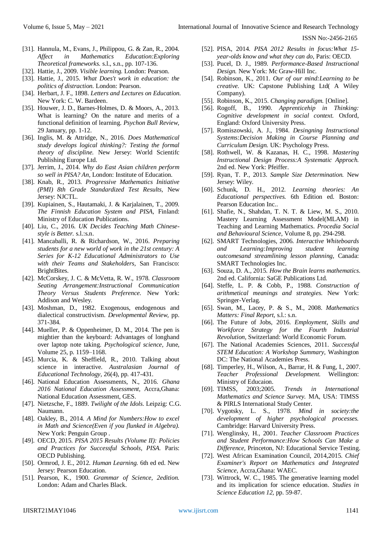- [31]. Hannula, M., Evans, J., Philippou, G. & Zan, R., 2004. *Affect in Mathematics Education:Exploring Theoretical frameworks.* s.l., s.n., pp. 107-136.
- [32]. Hattie, J., 2009. *Visible learning.* London: Pearson.
- [33]. Hattie, J., 2015. *What Does't work in education: the politics of distraction.* London: Pearson.
- [34]. Herbart, J. F., 1898. *Letters and Lectures on Education.*  New York: C. W. Bardeen.
- [35]. Houwer, J. D., Barnes-Holmes, D. & Moors, A., 2013. What is learning? On the nature and merits of a functional definition of learning. *Psychon Bull Review*, 29 January, pp. 1-12.
- [36]. Inglis, M. & Attridge, N., 2016. *Does Mathematical study develops logical thinking?: Testing the formal theory of discipline.* New Jersey: World Scientifc Publishing Europe Ltd.
- [37]. Jerrim, J., 2014. *Why do East Asian children perform so well in PISA? An,* London: Institute of Education.
- [38]. Knab, R., 2013. *Progressive Mathematics Initiative (PMI) 8th Grade Standardized Test Results,* New Jersey: NJCTL.
- [39]. Kupiainen, S., Hautamaki, J. & Karjalainen, T., 2009. *The Finnish Education System and PISA,* Finland: Ministry of Education Publications.
- [40]. Liu, C., 2016. *UK Decides Teaching Math Chinesestyle is Better.* s.l.:s.n.
- [41]. Mancaballi, R. & Richardson, W., 2016. *Preparing students for a new world of work in the 21st century: A Series for K-12 Educational Administrators to Use with their Teams and Stakeholders,* San Francisco: BrightBites.
- [42]. McCorskey, J. C. & McVetta, R. W., 1978. *Classroom Seating Arrangement:Instructional Communication Theory Versus Students Preference.* New York: Addison and Wesley.
- [43]. Moshman, D., 1982. Exogenous, endogenous and dialectical constructivism. *Developmental Review,* pp. 371-384.
- [44]. Mueller, P. & Oppenheimer, D. M., 2014. The pen is mightier than the keyboard: Advantages of longhand over laptop note taking. *Psychological science,* June, Volume 25, p. 1159–1168.
- [45]. Murcia, K. & Sheffield, R., 2010. Talking about science in interactive. *Australasian Journal of Educational Technology,* 26(4), pp. 417-431.
- [46]. National Education Assessments, N., 2016. *Ghana 2016 National Education Assessment,* Accra,Ghana: National Education Assessment, GES.
- [47]. Nietzsche, F., 1889. *Twilight of the Idols.* Leipzig: C.G. Naumann.
- [48]. Oakley, B., 2014. *A Mind for Numbers:How to excel in Math and Science(Even if you flunked in Algebra).*  New York: Penguin Group .
- [49]. OECD, 2015. *PISA 2015 Results (Volume II): Policies and Practices for Successful Schools, PISA.* Paris: OECD Publishing.
- [50]. Ormrod, J. E., 2012. *Human Learning.* 6th ed ed. New Jersey: Pearson Education.
- [51]. Pearson, K., 1900. *Grammar of Science, 2edition.*  London: Adam and Charles Black.
- [52]. PISA, 2014. *PISA 2012 Results in focus:What 15 year-olds know and what they can do,* Paris: OECD.
- [53]. Pucel, D. J., 1989. *Performance-Based Instructional Design.* New York: Mc Graw-Hill Inc.
- [54]. Robinson, K., 2011. *Our of our mind:Learning to be creative.* UK: Capstone Publishing Ltd( A Wiley Company).
- [55]. Robinson, K., 2015. *Changing paradigm.* [Online].
- [56]. Rogoff, B., 1990. *Apprenticehip in Thinking: Cognitive development in social context.* Oxford, England: Oxford University Press.
- [57]. Romiszowski, A. J., 1984. *Desingning Instructional Systems:Decision Making in Course Planning and Curriculum Design.* UK: Psychology Press.
- [58]. Rothwell, W. & Kazanas, H. C., 1998. *Mastering Instructional Design Process:A Systematic Approch.*  2nd ed. New York: Pfeiffer.
- [59]. Ryan, T. P., 2013. *Sample Size Determination.* New Jersey: Wiley.
- [60]. Schunk, D. H., 2012. *Learning theories: An Educational perspectives.* 6th Edition ed. Boston: Pearson Education Inc..
- [61]. Shafie, N., Shahdan, T. N. T. & Liew, M. S., 2010. Mastery Learning Assessment Model(MLAM) in Teaching and Learning Mathematics. *Procedia Social and Behavioural Science,* Volume 8, pp. 294-298.
- [62]. SMART Technologies, 2006. *Interactive Whiteboards and Learning:Improving student learning outcomesand streamlining lesson planning,* Canada: SMART Technologies Inc.
- [63]. Souza, D. A., 2015. *How the Brain learns mathematics.*  2nd ed. California: SaGE Publications Ltd.
- [64]. Steffe, L. P. & Cobb, P., 1988. *Construction of arithmetical meanings and strategies.* New York: Springer-Verlag.
- [65]. Swan, M., Lacey, P. & S., M., 2008. *Mathematics Matters: Final Report,* s.l.: s.n.
- [66]. The Future of Jobs, 2016. *Employment, Skills and Workforce Strategy for the Fourth Industrial Revolution,* Switzerland: World Economic Forum.
- [67]. The National Academies Sciences, 2011. *Successful STEM Education: A Workshop Summary,* Washington DC: The National Academies Press.
- [68]. Timperley, H., Wilson, A., Barrar, H. & Fung, I., 2007. *Teacher Professional Development.* Wellington: Ministry of Educaion.
- [69]. TIMSS, 2003;2005. *Trends in International Mathematics and Science Survey.* MA, USA: TIMSS & PIRLS International Study Center.
- [70]. Vygotsky, L. S., 1978. *Mind in society:the development of higher psychological processes.*  Cambridge: Harvard University Press.
- [71]. Wenglinsky, H., 2001. *Teacher Classroom Practices and Student Performance:How Schools Can Make a Difference,* Princeton, NJ: Educational Service Testing.
- [72]. West African Examination Council, 2014,2015. *Chief Examiner's Report on Mathematics and Integrated Science,* Accra,Ghana: WAEC.
- [73]. Wittrock, W. C., 1985. The generative learning model and its implication for science education. *Studies in Science Education 12,* pp. 59-87.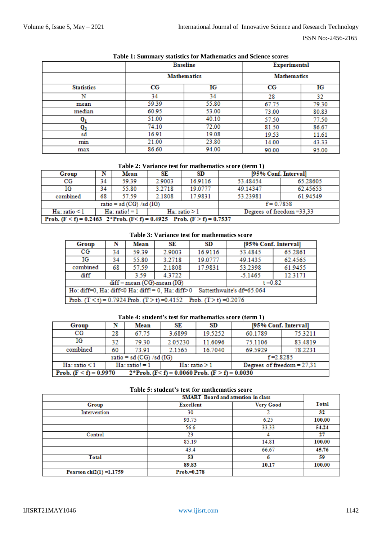|                   |          | <b>Baseline</b>    | Experimental<br><b>Mathematics</b> |       |  |
|-------------------|----------|--------------------|------------------------------------|-------|--|
|                   |          | <b>Mathematics</b> |                                    |       |  |
| <b>Statistics</b> | CG<br>IG |                    | $_{\rm CG}$                        | IG    |  |
| Ν                 | 34       | 34                 | 28                                 | 32    |  |
| mean              | 59.39    | 55.80              | 67.75                              | 79.30 |  |
| median            | 60.95    | 53.00              | 73.00                              | 80.83 |  |
| $\mathbf{Q_{1}}$  | 51.00    | 40.10              | 57.50                              | 77.50 |  |
| Q3                | 74.10    | 72.00              | 81.50                              | 86.67 |  |
| sd                | 16.91    | 19.08              | 19.53                              | 11.61 |  |
| min               | 21.00    | 23.80              | 14.00                              | 43.33 |  |
| max               | 86.60    | 94.00              | 90.00                              | 95.00 |  |

# **Table 1: Summary statistics for Mathematics and Science scores**

**Table 2: Variance test for mathematics score (term 1)**

| Group                                                                        | N  | Mean                          | SE                                                   | SD.     | [95% Conf. Interval] |          |  |  |
|------------------------------------------------------------------------------|----|-------------------------------|------------------------------------------------------|---------|----------------------|----------|--|--|
| $_{\rm CG}$                                                                  | 34 | 59.39                         | 2.9003                                               | 16.9116 | 53.48454             | 65.28605 |  |  |
| ΙG                                                                           | 34 | 55.80                         | 3.2718                                               | 19.0777 | 49.14347             | 62.45653 |  |  |
| combined                                                                     | 68 | 57.59                         | 2.1808                                               | 17.9831 | 53.23981             | 61.94549 |  |  |
|                                                                              |    | ratio = $sd$ (CG) / $sd$ (IG) | $f = 0.7858$                                         |         |                      |          |  |  |
| $Ha$ : ratio $\leq 1$                                                        |    | $Ha$ : ratio! = 1             | Degrees of freedom $=33.33$<br>$Ha$ : ratio $\geq 1$ |         |                      |          |  |  |
| Prob. $(F < f) = 0.2463$ $2*Prob. (F < f) = 0.4925$ Prob. $(F > f) = 0.7537$ |    |                               |                                                      |         |                      |          |  |  |

**Table 3: Variance test for mathematics score**

| Group                                                                      | N  | Mean  | SE     | SD      | [95% Conf. Interval] |         |  |
|----------------------------------------------------------------------------|----|-------|--------|---------|----------------------|---------|--|
| $_{\rm CG}$                                                                | 34 | 59.39 | 2.9003 | 16.9116 | 53.4845              | 65.2861 |  |
| ΙG                                                                         | 34 | 55.80 | 3.2718 | 19.0777 | 49.1435              | 62.4565 |  |
| combined                                                                   | 68 | 57.59 | 2.1808 | 17.9831 | 53.2398              | 61.9455 |  |
| diff                                                                       |    | 3.59  | 4.3722 |         | $-5.1465$            | 12.3171 |  |
| $diff = mean (CG)$ -mean $(IG)$<br>$t = 0.82$                              |    |       |        |         |                      |         |  |
| Ho: diff=0, Ha: diff<0 Ha: diff!= 0, Ha: diff>0 Satterthwaite's df=65.064  |    |       |        |         |                      |         |  |
| Prob. $(T < t) = 0.7924$ Prob. $(T > t) = 0.4152$ Prob. $(T > t) = 0.2076$ |    |       |        |         |                      |         |  |

# **Table 4: student's test for mathematics score (term 1)**

| Group                                                                         |                               | Mean         | SE      | SD                           | [95% Conf. Interval] |         |  |
|-------------------------------------------------------------------------------|-------------------------------|--------------|---------|------------------------------|----------------------|---------|--|
| $_{\rm CG}$                                                                   | 28                            | 67.75        | 3.6899  | 19.5252                      | 60.1789              | 75.3211 |  |
| ΙG                                                                            | 32                            | 79.30        | 2.05230 | 11.6096                      | 75.1106              | 83.4819 |  |
| combined                                                                      | 60                            | 73.91        | 2.1565  | 16.7040                      | 69.5929              | 78.2231 |  |
|                                                                               | ratio = $sd$ (CG) / $sd$ (IG) | $f = 2.8285$ |         |                              |                      |         |  |
| $Ha: ratio!=1$<br>$Ha$ : ratio $\leq 1$<br>$Ha$ : ratio $\geq 1$              |                               |              |         | Degrees of freedom $= 27.31$ |                      |         |  |
| Prob. $(F < f) = 0.9970$<br>$2*Prob. (F < f) = 0.0060 Prob. (F > f) = 0.0030$ |                               |              |         |                              |                      |         |  |

# **Table 5: student's test for mathematics score**

|                            | <b>SMART</b> Board and attention in class |                  |              |  |
|----------------------------|-------------------------------------------|------------------|--------------|--|
| Group                      | <b>Excellent</b>                          | <b>Very Good</b> | <b>Total</b> |  |
| Intervention               | 30                                        |                  | 32           |  |
|                            | 93.75                                     | 6.25             | 100.00       |  |
|                            | 56.6                                      | 33.33            | 54.24        |  |
| Control                    | 23                                        |                  | 27           |  |
|                            | 85.19                                     | 14.81            | 100.00       |  |
|                            | 43.4                                      | 66.67            | 45.76        |  |
| Total                      | 53                                        |                  | 59           |  |
|                            | 89.83                                     | 10.17            | 100.00       |  |
| Pearson $chi2(1) = 1.1759$ | $Prob = 0.278$                            |                  |              |  |